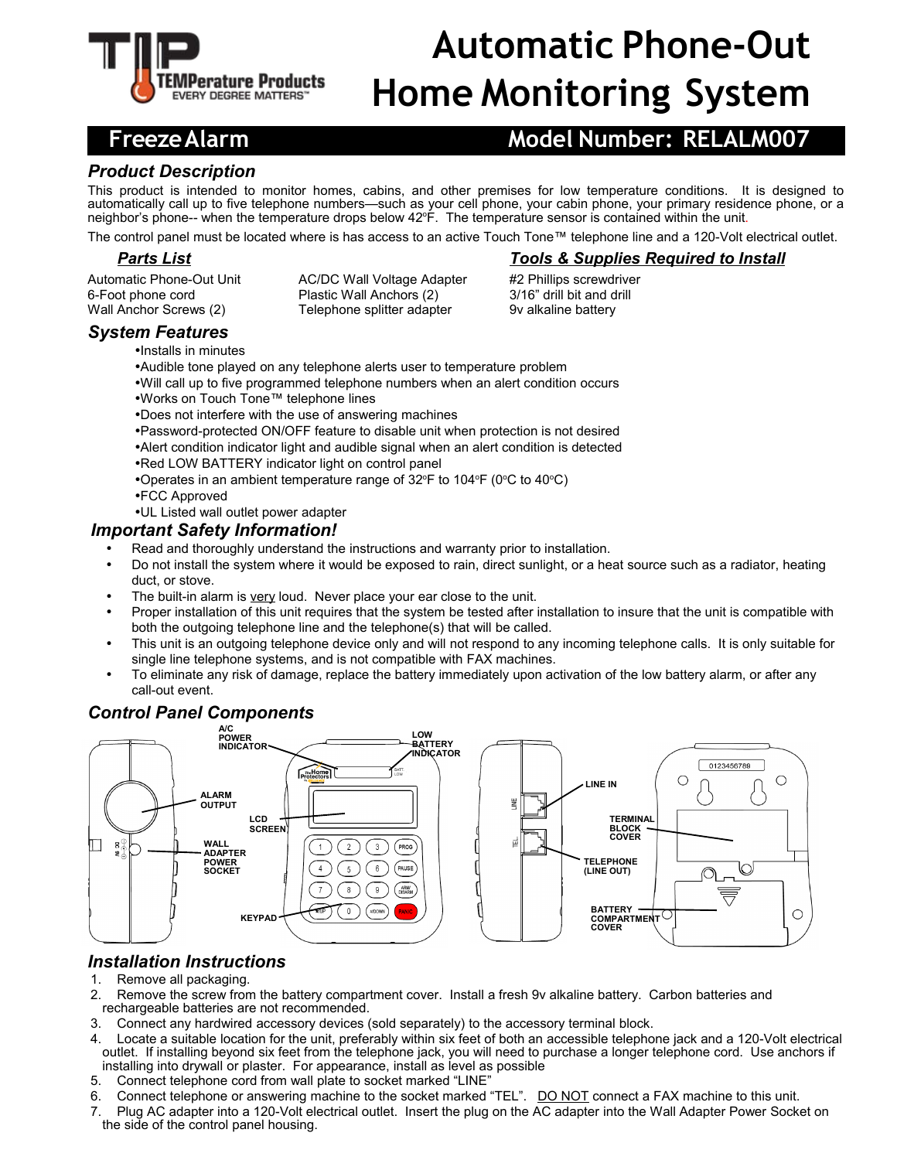

# **Automatic Phone-Out Home Monitoring System**

### **Freeze Alarm Model Number: RELALM007**

### *Product Description*

This product is intended to monitor homes, cabins, and other premises for low temperature conditions. It is designed to automatically call up to five telephone numbers—such as your cell phone, your cabin phone, your primary residence phone, or a neighbor's phone-- when the temperature drops below 42°F. The temperature sensor is contained within the unit.

The control panel must be located where is has access to an active Touch Tone™ telephone line and a 120-Volt electrical outlet.

Automatic Phone-Out Unit AC/DC Wall Voltage Adapter #2 Phillips screwdriver 6-Foot phone cord Plastic Wall Anchors (2) 3/16" drill bit and drill Wall Anchor Screws (2) Telephone splitter adapter 9v alkaline battery

#### *Parts List Tools & Supplies Required to Install*

- *System Features*
	- •Installs in minutes
	- •Audible tone played on any telephone alerts user to temperature problem
	- •Will call up to five programmed telephone numbers when an alert condition occurs
	- •Works on Touch Tone™ telephone lines
	- •Does not interfere with the use of answering machines
	- •Password-protected ON/OFF feature to disable unit when protection is not desired
	- •Alert condition indicator light and audible signal when an alert condition is detected
	- •Red LOW BATTERY indicator light on control panel
	- •Operates in an ambient temperature range of  $32^{\circ}F$  to  $104^{\circ}F$  (0 $^{\circ}C$  to  $40^{\circ}C$ )
	- •FCC Approved
	- •UL Listed wall outlet power adapter

#### *Important Safety Information!*

- Read and thoroughly understand the instructions and warranty prior to installation.
- Do not install the system where it would be exposed to rain, direct sunlight, or a heat source such as a radiator, heating duct, or stove.
- The built-in alarm is very loud. Never place your ear close to the unit.
- Proper installation of this unit requires that the system be tested after installation to insure that the unit is compatible with both the outgoing telephone line and the telephone(s) that will be called.
- This unit is an outgoing telephone device only and will not respond to any incoming telephone calls. It is only suitable for single line telephone systems, and is not compatible with FAX machines.
- To eliminate any risk of damage, replace the battery immediately upon activation of the low battery alarm, or after any call-out event.

#### *Control Panel Components*



### *Installation Instructions*

- 1. Remove all packaging.
- 2. Remove the screw from the battery compartment cover. Install a fresh 9v alkaline battery. Carbon batteries and rechargeable batteries are not recommended.
- 3. Connect any hardwired accessory devices (sold separately) to the accessory terminal block.
- 4. Locate a suitable location for the unit, preferably within six feet of both an accessible telephone jack and a 120-Volt electrical outlet. If installing beyond six feet from the telephone jack, you will need to purchase a longer telephone cord. Use anchors if installing into drywall or plaster. For appearance, install as level as possible
- 5. Connect telephone cord from wall plate to socket marked "LINE"
- 6. Connect telephone or answering machine to the socket marked "TEL". DO NOT connect a FAX machine to this unit.
- 7. Plug AC adapter into a 120-Volt electrical outlet. Insert the plug on the AC adapter into the Wall Adapter Power Socket on the side of the control panel housing.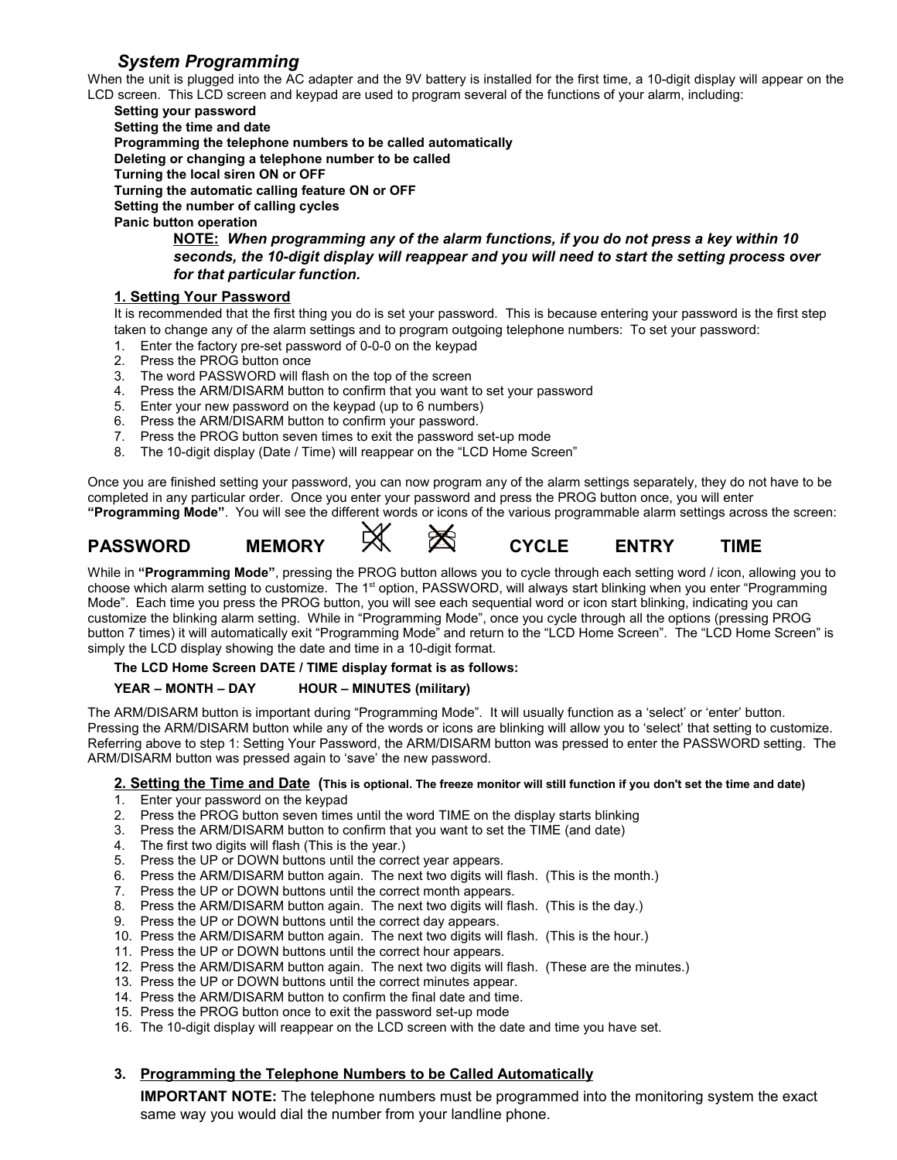### *System Programming*

When the unit is plugged into the AC adapter and the 9V battery is installed for the first time, a 10-digit display will appear on the LCD screen. This LCD screen and keypad are used to program several of the functions of your alarm, including:

**Setting your password**

**Setting the time and date**

**Programming the telephone numbers to be called automatically** 

**Deleting or changing a telephone number to be called**

**Turning the local siren ON or OFF**

**Turning the automatic calling feature ON or OFF**

**Setting the number of calling cycles** 

**Panic button operation**

**NOTE:** *When programming any of the alarm functions, if you do not press a key within 10 seconds, the 10-digit display will reappear and you will need to start the setting process over for that particular function.*

#### **1. Setting Your Password**

It is recommended that the first thing you do is set your password. This is because entering your password is the first step taken to change any of the alarm settings and to program outgoing telephone numbers: To set your password:

- 1. Enter the factory pre-set password of 0-0-0 on the keypad
- 2. Press the PROG button once
- 3. The word PASSWORD will flash on the top of the screen
- 4. Press the ARM/DISARM button to confirm that you want to set your password
- 5. Enter your new password on the keypad (up to 6 numbers)
- 6. Press the ARM/DISARM button to confirm your password.
- 7. Press the PROG button seven times to exit the password set-up mode
- 8. The 10-digit display (Date / Time) will reappear on the "LCD Home Screen"

Once you are finished setting your password, you can now program any of the alarm settings separately, they do not have to be completed in any particular order. Once you enter your password and press the PROG button once, you will enter **"Programming Mode"**. You will see the different words or icons of the various programmable alarm settings across the screen:

## **PASSWORD MEMORY CYCLE ENTRY TIME**







While in **"Programming Mode"**, pressing the PROG button allows you to cycle through each setting word / icon, allowing you to choose which alarm setting to customize. The 1<sup>st</sup> option, PASSWORD, will always start blinking when you enter "Programming" Mode". Each time you press the PROG button, you will see each sequential word or icon start blinking, indicating you can customize the blinking alarm setting. While in "Programming Mode", once you cycle through all the options (pressing PROG button 7 times) it will automatically exit "Programming Mode" and return to the "LCD Home Screen". The "LCD Home Screen" is simply the LCD display showing the date and time in a 10-digit format.

**The LCD Home Screen DATE / TIME display format is as follows:** 

#### **YEAR – MONTH – DAY HOUR – MINUTES (military)**

The ARM/DISARM button is important during "Programming Mode". It will usually function as a 'select' or 'enter' button. Pressing the ARM/DISARM button while any of the words or icons are blinking will allow you to 'select' that setting to customize. Referring above to step 1: Setting Your Password, the ARM/DISARM button was pressed to enter the PASSWORD setting. The ARM/DISARM button was pressed again to 'save' the new password.

#### **2. Setting the Time and Date (This is optional. The freeze monitor will still function if you don't set the time and date)**

- 1. Enter your password on the keypad
- 2. Press the PROG button seven times until the word TIME on the display starts blinking
- 3. Press the ARM/DISARM button to confirm that you want to set the TIME (and date)
- 4. The first two digits will flash (This is the year.)
- 5. Press the UP or DOWN buttons until the correct year appears.
- 6. Press the ARM/DISARM button again. The next two digits will flash. (This is the month.)
- 7. Press the UP or DOWN buttons until the correct month appears.
- 8. Press the ARM/DISARM button again. The next two digits will flash. (This is the day.)
- 9. Press the UP or DOWN buttons until the correct day appears.
- 10. Press the ARM/DISARM button again. The next two digits will flash. (This is the hour.)
- 11. Press the UP or DOWN buttons until the correct hour appears.
- 12. Press the ARM/DISARM button again. The next two digits will flash. (These are the minutes.)
- 13. Press the UP or DOWN buttons until the correct minutes appear.
- 14. Press the ARM/DISARM button to confirm the final date and time.
- 15. Press the PROG button once to exit the password set-up mode
- 16. The 10-digit display will reappear on the LCD screen with the date and time you have set.

#### **3. Programming the Telephone Numbers to be Called Automatically**

**IMPORTANT NOTE:** The telephone numbers must be programmed into the monitoring system the exact same way you would dial the number from your landline phone.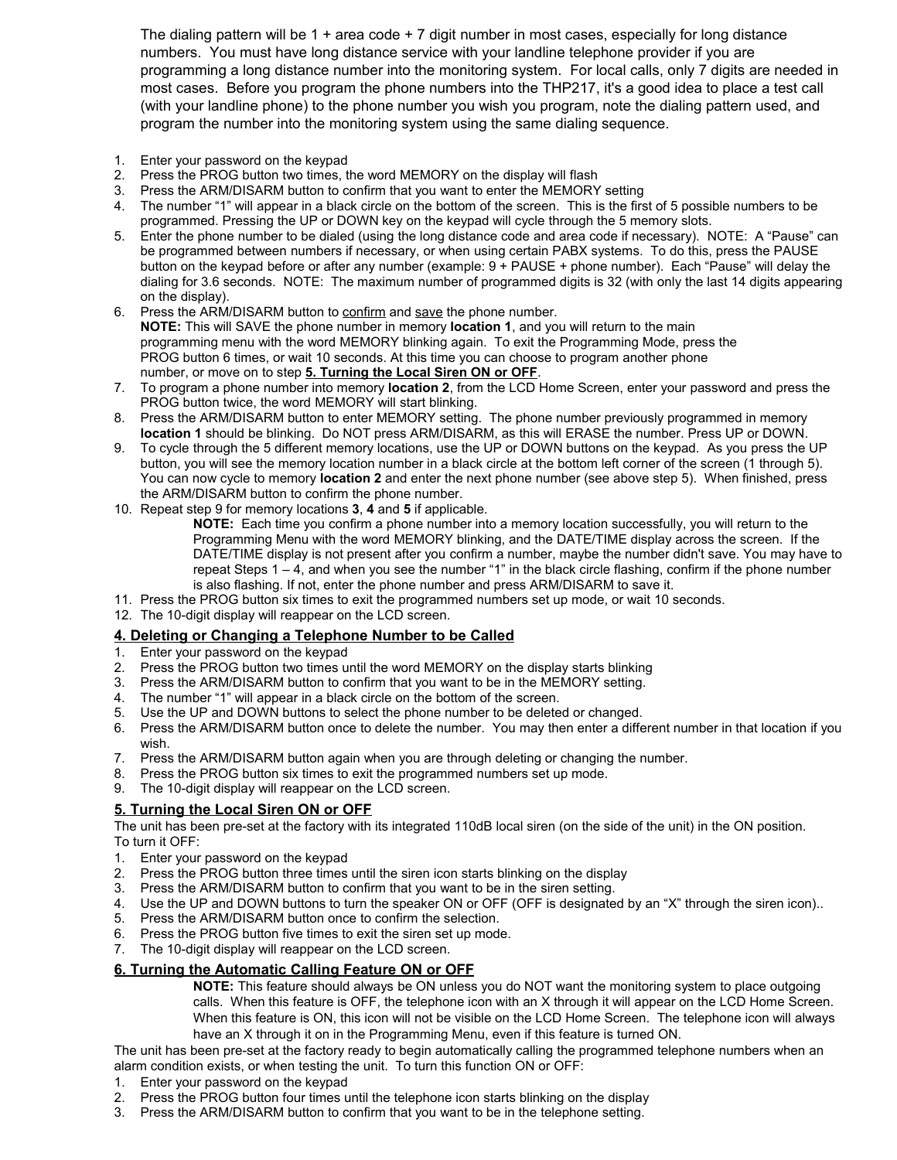The dialing pattern will be 1 + area code + 7 digit number in most cases, especially for long distance numbers. You must have long distance service with your landline telephone provider if you are programming a long distance number into the monitoring system. For local calls, only 7 digits are needed in most cases. Before you program the phone numbers into the THP217, it's a good idea to place a test call (with your landline phone) to the phone number you wish you program, note the dialing pattern used, and program the number into the monitoring system using the same dialing sequence.

- 1. Enter your password on the keypad
- 2. Press the PROG button two times, the word MEMORY on the display will flash
- 3. Press the ARM/DISARM button to confirm that you want to enter the MEMORY setting
- 4. The number "1" will appear in a black circle on the bottom of the screen. This is the first of 5 possible numbers to be programmed. Pressing the UP or DOWN key on the keypad will cycle through the 5 memory slots.
- 5. Enter the phone number to be dialed (using the long distance code and area code if necessary). NOTE: A "Pause" can be programmed between numbers if necessary, or when using certain PABX systems. To do this, press the PAUSE button on the keypad before or after any number (example: 9 + PAUSE + phone number). Each "Pause" will delay the dialing for 3.6 seconds. NOTE: The maximum number of programmed digits is 32 (with only the last 14 digits appearing on the display).
- 6. Press the ARM/DISARM button to confirm and save the phone number. **NOTE:** This will SAVE the phone number in memory **location 1**, and you will return to the main programming menu with the word MEMORY blinking again. To exit the Programming Mode, press the PROG button 6 times, or wait 10 seconds. At this time you can choose to program another phone number, or move on to step **5. Turning the Local Siren ON or OFF**.
- 7. To program a phone number into memory **location 2**, from the LCD Home Screen, enter your password and press the PROG button twice, the word MEMORY will start blinking.
- 8. Press the ARM/DISARM button to enter MEMORY setting. The phone number previously programmed in memory **location 1** should be blinking. Do NOT press ARM/DISARM, as this will ERASE the number. Press UP or DOWN.
- 9. To cycle through the 5 different memory locations, use the UP or DOWN buttons on the keypad. As you press the UP button, you will see the memory location number in a black circle at the bottom left corner of the screen (1 through 5). You can now cycle to memory **location 2** and enter the next phone number (see above step 5). When finished, press the ARM/DISARM button to confirm the phone number.
- 10. Repeat step 9 for memory locations **3**, **4** and **5** if applicable.

**NOTE:** Each time you confirm a phone number into a memory location successfully, you will return to the Programming Menu with the word MEMORY blinking, and the DATE/TIME display across the screen. If the DATE/TIME display is not present after you confirm a number, maybe the number didn't save. You may have to repeat Steps 1 – 4, and when you see the number "1" in the black circle flashing, confirm if the phone number is also flashing. If not, enter the phone number and press ARM/DISARM to save it.

- 11. Press the PROG button six times to exit the programmed numbers set up mode, or wait 10 seconds.
- 12. The 10-digit display will reappear on the LCD screen.

#### **4. Deleting or Changing a Telephone Number to be Called**

- 1. Enter your password on the keypad
- 2. Press the PROG button two times until the word MEMORY on the display starts blinking
- 3. Press the ARM/DISARM button to confirm that you want to be in the MEMORY setting.<br>4. The number "1" will appear in a black circle on the bottom of the screen.
- The number "1" will appear in a black circle on the bottom of the screen.
- 5. Use the UP and DOWN buttons to select the phone number to be deleted or changed.
- 6. Press the ARM/DISARM button once to delete the number. You may then enter a different number in that location if you wish.
- 7. Press the ARM/DISARM button again when you are through deleting or changing the number.
- 8. Press the PROG button six times to exit the programmed numbers set up mode.
- 9. The 10-digit display will reappear on the LCD screen.

#### **5. Turning the Local Siren ON or OFF**

The unit has been pre-set at the factory with its integrated 110dB local siren (on the side of the unit) in the ON position. To turn it OFF:

- 1. Enter your password on the keypad
- 2. Press the PROG button three times until the siren icon starts blinking on the display
- 3. Press the ARM/DISARM button to confirm that you want to be in the siren setting.
- 4. Use the UP and DOWN buttons to turn the speaker ON or OFF (OFF is designated by an "X" through the siren icon)..
- 5. Press the ARM/DISARM button once to confirm the selection.
- 6. Press the PROG button five times to exit the siren set up mode.
- 7. The 10-digit display will reappear on the LCD screen.

#### **6. Turning the Automatic Calling Feature ON or OFF**

**NOTE:** This feature should always be ON unless you do NOT want the monitoring system to place outgoing calls. When this feature is OFF, the telephone icon with an X through it will appear on the LCD Home Screen. When this feature is ON, this icon will not be visible on the LCD Home Screen. The telephone icon will always have an X through it on in the Programming Menu, even if this feature is turned ON.

The unit has been pre-set at the factory ready to begin automatically calling the programmed telephone numbers when an alarm condition exists, or when testing the unit. To turn this function ON or OFF:

- 1. Enter your password on the keypad
- 2. Press the PROG button four times until the telephone icon starts blinking on the display
- 3. Press the ARM/DISARM button to confirm that you want to be in the telephone setting.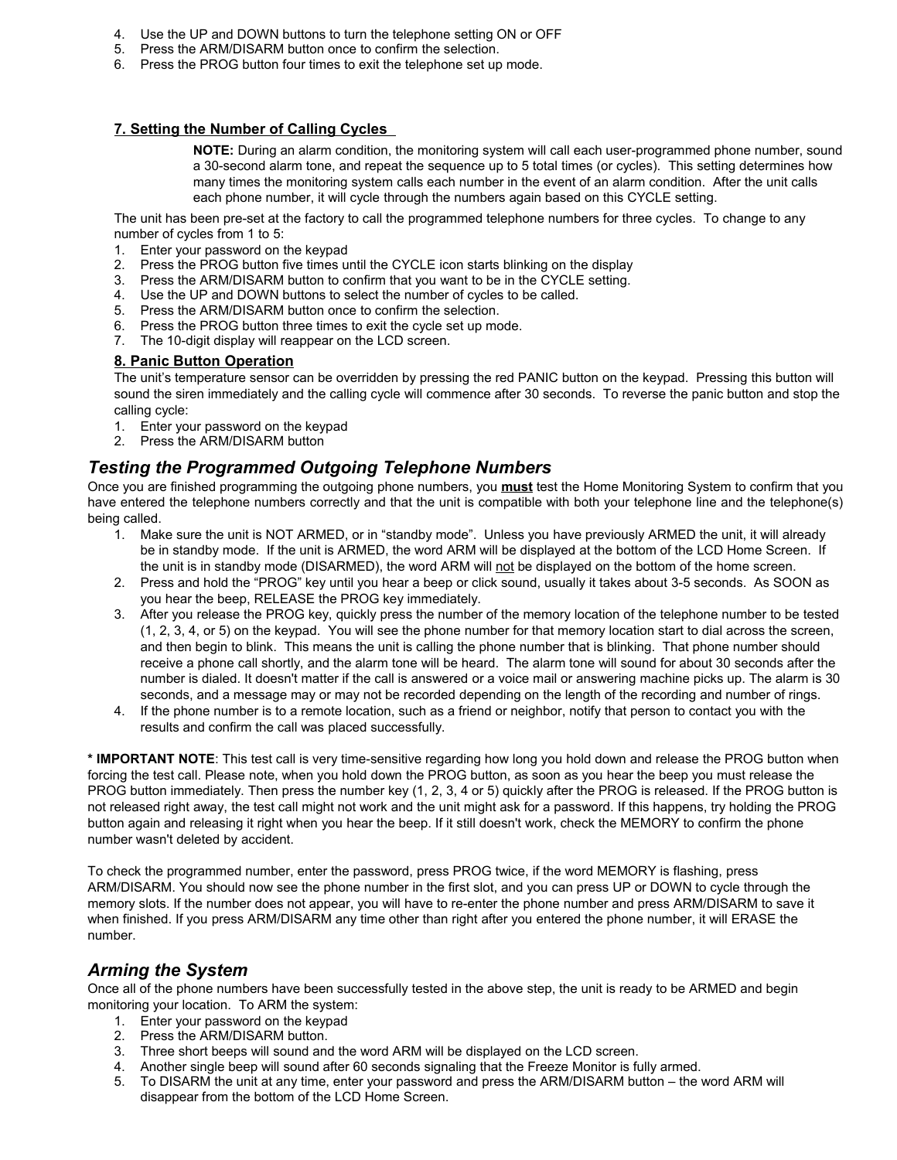- 4. Use the UP and DOWN buttons to turn the telephone setting ON or OFF
- 5. Press the ARM/DISARM button once to confirm the selection.
- 6. Press the PROG button four times to exit the telephone set up mode.

#### **7. Setting the Number of Calling Cycles**

**NOTE:** During an alarm condition, the monitoring system will call each user-programmed phone number, sound a 30-second alarm tone, and repeat the sequence up to 5 total times (or cycles). This setting determines how many times the monitoring system calls each number in the event of an alarm condition. After the unit calls each phone number, it will cycle through the numbers again based on this CYCLE setting.

The unit has been pre-set at the factory to call the programmed telephone numbers for three cycles. To change to any number of cycles from 1 to 5:

- 1. Enter your password on the keypad
- 2. Press the PROG button five times until the CYCLE icon starts blinking on the display
- 3. Press the ARM/DISARM button to confirm that you want to be in the CYCLE setting.
- 4. Use the UP and DOWN buttons to select the number of cycles to be called.
- 5. Press the ARM/DISARM button once to confirm the selection.
- 6. Press the PROG button three times to exit the cycle set up mode.
- 7. The 10-digit display will reappear on the LCD screen.

#### **8. Panic Button Operation**

The unit's temperature sensor can be overridden by pressing the red PANIC button on the keypad. Pressing this button will sound the siren immediately and the calling cycle will commence after 30 seconds. To reverse the panic button and stop the calling cycle:

- 1. Enter your password on the keypad
- 2. Press the ARM/DISARM button

#### *Testing the Programmed Outgoing Telephone Numbers*

Once you are finished programming the outgoing phone numbers, you **must** test the Home Monitoring System to confirm that you have entered the telephone numbers correctly and that the unit is compatible with both your telephone line and the telephone(s) being called.

- 1. Make sure the unit is NOT ARMED, or in "standby mode". Unless you have previously ARMED the unit, it will already be in standby mode. If the unit is ARMED, the word ARM will be displayed at the bottom of the LCD Home Screen. If the unit is in standby mode (DISARMED), the word ARM will not be displayed on the bottom of the home screen.
- 2. Press and hold the "PROG" key until you hear a beep or click sound, usually it takes about 3-5 seconds. As SOON as you hear the beep, RELEASE the PROG key immediately.
- 3. After you release the PROG key, quickly press the number of the memory location of the telephone number to be tested (1, 2, 3, 4, or 5) on the keypad. You will see the phone number for that memory location start to dial across the screen, and then begin to blink. This means the unit is calling the phone number that is blinking. That phone number should receive a phone call shortly, and the alarm tone will be heard. The alarm tone will sound for about 30 seconds after the number is dialed. It doesn't matter if the call is answered or a voice mail or answering machine picks up. The alarm is 30 seconds, and a message may or may not be recorded depending on the length of the recording and number of rings.
- 4. If the phone number is to a remote location, such as a friend or neighbor, notify that person to contact you with the results and confirm the call was placed successfully.

**\* IMPORTANT NOTE**: This test call is very time-sensitive regarding how long you hold down and release the PROG button when forcing the test call. Please note, when you hold down the PROG button, as soon as you hear the beep you must release the PROG button immediately. Then press the number key (1, 2, 3, 4 or 5) quickly after the PROG is released. If the PROG button is not released right away, the test call might not work and the unit might ask for a password. If this happens, try holding the PROG button again and releasing it right when you hear the beep. If it still doesn't work, check the MEMORY to confirm the phone number wasn't deleted by accident.

To check the programmed number, enter the password, press PROG twice, if the word MEMORY is flashing, press ARM/DISARM. You should now see the phone number in the first slot, and you can press UP or DOWN to cycle through the memory slots. If the number does not appear, you will have to re-enter the phone number and press ARM/DISARM to save it when finished. If you press ARM/DISARM any time other than right after you entered the phone number, it will ERASE the number.

#### *Arming the System*

Once all of the phone numbers have been successfully tested in the above step, the unit is ready to be ARMED and begin monitoring your location. To ARM the system:

- 1. Enter your password on the keypad
- 2. Press the ARM/DISARM button.
- 3. Three short beeps will sound and the word ARM will be displayed on the LCD screen.
- 4. Another single beep will sound after 60 seconds signaling that the Freeze Monitor is fully armed.<br>5. To DISARM the unit at any time, enter your password and press the ARM/DISARM button the v
- 5. To DISARM the unit at any time, enter your password and press the ARM/DISARM button the word ARM will disappear from the bottom of the LCD Home Screen.